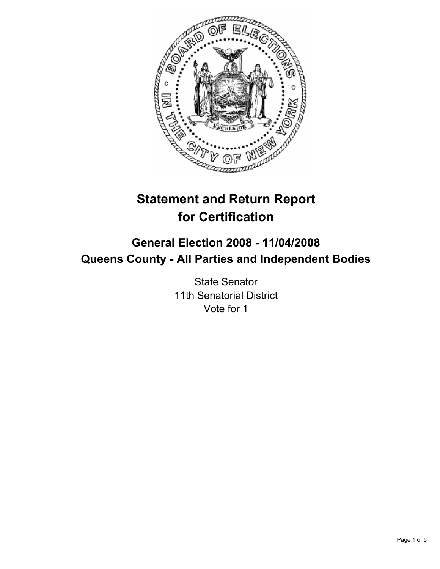

# **Statement and Return Report for Certification**

## **General Election 2008 - 11/04/2008 Queens County - All Parties and Independent Bodies**

State Senator 11th Senatorial District Vote for 1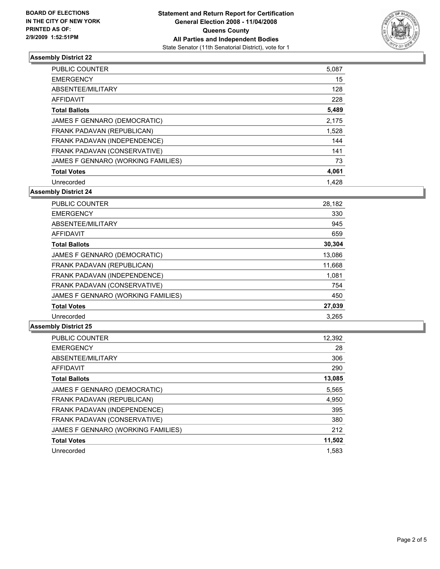

## **Assembly District 22**

| PUBLIC COUNTER                     | 5,087 |
|------------------------------------|-------|
| <b>EMERGENCY</b>                   | 15    |
| ABSENTEE/MILITARY                  | 128   |
| AFFIDAVIT                          | 228   |
| <b>Total Ballots</b>               | 5,489 |
| JAMES F GENNARO (DEMOCRATIC)       | 2,175 |
| FRANK PADAVAN (REPUBLICAN)         | 1,528 |
| FRANK PADAVAN (INDEPENDENCE)       | 144   |
| FRANK PADAVAN (CONSERVATIVE)       | 141   |
| JAMES F GENNARO (WORKING FAMILIES) | 73    |
| <b>Total Votes</b>                 | 4,061 |
| Unrecorded                         | 1.428 |

**Assembly District 24**

| PUBLIC COUNTER                     | 28,182 |
|------------------------------------|--------|
| <b>EMERGENCY</b>                   | 330    |
| ABSENTEE/MILITARY                  | 945    |
| AFFIDAVIT                          | 659    |
| <b>Total Ballots</b>               | 30,304 |
| JAMES F GENNARO (DEMOCRATIC)       | 13,086 |
| FRANK PADAVAN (REPUBLICAN)         | 11,668 |
| FRANK PADAVAN (INDEPENDENCE)       | 1,081  |
| FRANK PADAVAN (CONSERVATIVE)       | 754    |
| JAMES F GENNARO (WORKING FAMILIES) | 450    |
| <b>Total Votes</b>                 | 27,039 |
| Unrecorded                         | 3.265  |

#### **Assembly District 25**

| PUBLIC COUNTER                     | 12,392 |
|------------------------------------|--------|
| <b>EMERGENCY</b>                   | 28     |
| ABSENTEE/MILITARY                  | 306    |
| <b>AFFIDAVIT</b>                   | 290    |
| <b>Total Ballots</b>               | 13,085 |
| JAMES F GENNARO (DEMOCRATIC)       | 5,565  |
| FRANK PADAVAN (REPUBLICAN)         | 4,950  |
| FRANK PADAVAN (INDEPENDENCE)       | 395    |
| FRANK PADAVAN (CONSERVATIVE)       | 380    |
| JAMES F GENNARO (WORKING FAMILIES) | 212    |
| <b>Total Votes</b>                 | 11,502 |
| Unrecorded                         | 1.583  |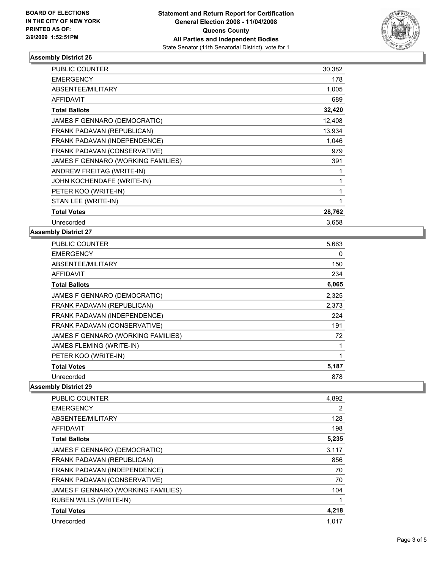

## **Assembly District 26**

| <b>PUBLIC COUNTER</b>              | 30,382 |  |
|------------------------------------|--------|--|
| <b>EMERGENCY</b>                   | 178    |  |
| ABSENTEE/MILITARY                  | 1,005  |  |
| <b>AFFIDAVIT</b>                   | 689    |  |
| <b>Total Ballots</b>               | 32,420 |  |
| JAMES F GENNARO (DEMOCRATIC)       | 12,408 |  |
| FRANK PADAVAN (REPUBLICAN)         | 13,934 |  |
| FRANK PADAVAN (INDEPENDENCE)       | 1,046  |  |
| FRANK PADAVAN (CONSERVATIVE)       | 979    |  |
| JAMES F GENNARO (WORKING FAMILIES) | 391    |  |
| ANDREW FREITAG (WRITE-IN)          |        |  |
| JOHN KOCHENDAFE (WRITE-IN)         |        |  |
| PETER KOO (WRITE-IN)               |        |  |
| STAN LEE (WRITE-IN)                |        |  |
| <b>Total Votes</b>                 | 28,762 |  |
| Unrecorded                         | 3,658  |  |

## **Assembly District 27**

| <b>PUBLIC COUNTER</b>              | 5,663 |
|------------------------------------|-------|
| <b>EMERGENCY</b>                   | 0     |
| ABSENTEE/MILITARY                  | 150   |
| <b>AFFIDAVIT</b>                   | 234   |
| <b>Total Ballots</b>               | 6,065 |
| JAMES F GENNARO (DEMOCRATIC)       | 2,325 |
| FRANK PADAVAN (REPUBLICAN)         | 2,373 |
| FRANK PADAVAN (INDEPENDENCE)       | 224   |
| FRANK PADAVAN (CONSERVATIVE)       | 191   |
| JAMES F GENNARO (WORKING FAMILIES) | 72    |
| JAMES FLEMING (WRITE-IN)           |       |
| PETER KOO (WRITE-IN)               |       |
| <b>Total Votes</b>                 | 5,187 |
| Unrecorded                         | 878   |

## **Assembly District 29**

| PUBLIC COUNTER                     | 4,892 |
|------------------------------------|-------|
| <b>EMERGENCY</b>                   | 2     |
| ABSENTEE/MILITARY                  | 128   |
| AFFIDAVIT                          | 198   |
| <b>Total Ballots</b>               | 5,235 |
| JAMES F GENNARO (DEMOCRATIC)       | 3,117 |
| FRANK PADAVAN (REPUBLICAN)         | 856   |
| FRANK PADAVAN (INDEPENDENCE)       | 70    |
| FRANK PADAVAN (CONSERVATIVE)       | 70    |
| JAMES F GENNARO (WORKING FAMILIES) | 104   |
| <b>RUBEN WILLS (WRITE-IN)</b>      |       |
| <b>Total Votes</b>                 | 4,218 |
| Unrecorded                         | 1.017 |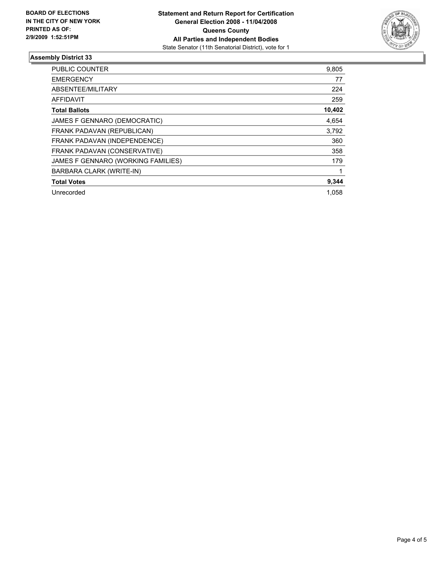

## **Assembly District 33**

| PUBLIC COUNTER                     | 9,805  |
|------------------------------------|--------|
| <b>EMERGENCY</b>                   | 77     |
| ABSENTEE/MILITARY                  | 224    |
| AFFIDAVIT                          | 259    |
| <b>Total Ballots</b>               | 10,402 |
| JAMES F GENNARO (DEMOCRATIC)       | 4,654  |
| FRANK PADAVAN (REPUBLICAN)         | 3.792  |
| FRANK PADAVAN (INDEPENDENCE)       | 360    |
| FRANK PADAVAN (CONSERVATIVE)       | 358    |
| JAMES F GENNARO (WORKING FAMILIES) | 179    |
| BARBARA CLARK (WRITE-IN)           |        |
| <b>Total Votes</b>                 | 9,344  |
| Unrecorded                         | 1.058  |